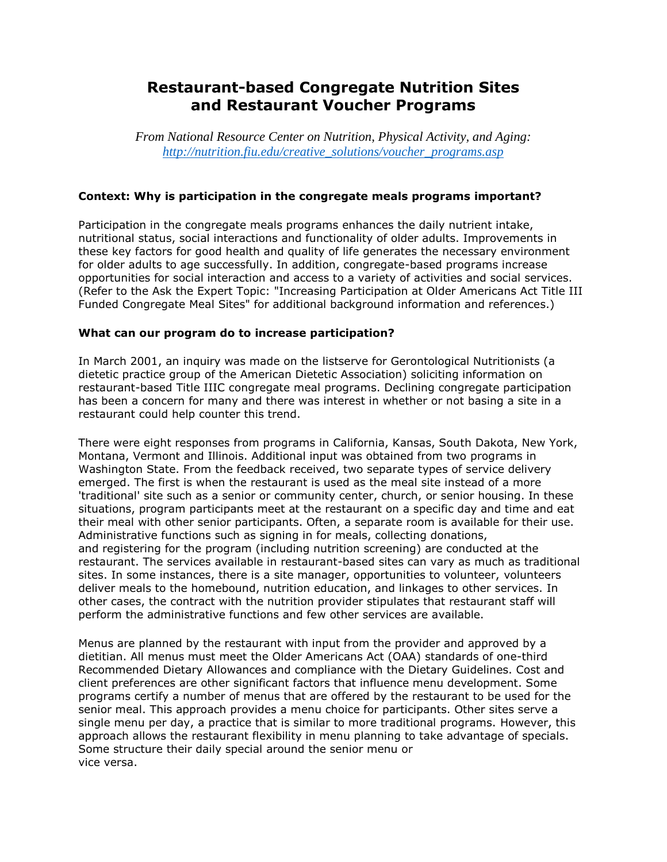# **Restaurant-based Congregate Nutrition Sites and Restaurant Voucher Programs**

*From National Resource Center on Nutrition, Physical Activity, and Aging: [http://nutrition.fiu.edu/creative\\_solutions/voucher\\_programs.asp](http://nutrition.fiu.edu/creative_solutions/voucher_programs.asp)*

### **Context: Why is participation in the congregate meals programs important?**

Participation in the congregate meals programs enhances the daily nutrient intake, nutritional status, social interactions and functionality of older adults. Improvements in these key factors for good health and quality of life generates the necessary environment for older adults to age successfully. In addition, congregate-based programs increase opportunities for social interaction and access to a variety of activities and social services. (Refer to the Ask the Expert Topic: "Increasing Participation at Older Americans Act Title III Funded Congregate Meal Sites" for additional background information and references.)

#### **What can our program do to increase participation?**

In March 2001, an inquiry was made on the listserve for Gerontological Nutritionists (a dietetic practice group of the American Dietetic Association) soliciting information on restaurant-based Title IIIC congregate meal programs. Declining congregate participation has been a concern for many and there was interest in whether or not basing a site in a restaurant could help counter this trend.

There were eight responses from programs in California, Kansas, South Dakota, New York, Montana, Vermont and Illinois. Additional input was obtained from two programs in Washington State. From the feedback received, two separate types of service delivery emerged. The first is when the restaurant is used as the meal site instead of a more 'traditional' site such as a senior or community center, church, or senior housing. In these situations, program participants meet at the restaurant on a specific day and time and eat their meal with other senior participants. Often, a separate room is available for their use. Administrative functions such as signing in for meals, collecting donations, and registering for the program (including nutrition screening) are conducted at the restaurant. The services available in restaurant-based sites can vary as much as traditional sites. In some instances, there is a site manager, opportunities to volunteer, volunteers deliver meals to the homebound, nutrition education, and linkages to other services. In other cases, the contract with the nutrition provider stipulates that restaurant staff will perform the administrative functions and few other services are available.

Menus are planned by the restaurant with input from the provider and approved by a dietitian. All menus must meet the Older Americans Act (OAA) standards of one-third Recommended Dietary Allowances and compliance with the Dietary Guidelines. Cost and client preferences are other significant factors that influence menu development. Some programs certify a number of menus that are offered by the restaurant to be used for the senior meal. This approach provides a menu choice for participants. Other sites serve a single menu per day, a practice that is similar to more traditional programs. However, this approach allows the restaurant flexibility in menu planning to take advantage of specials. Some structure their daily special around the senior menu or vice versa.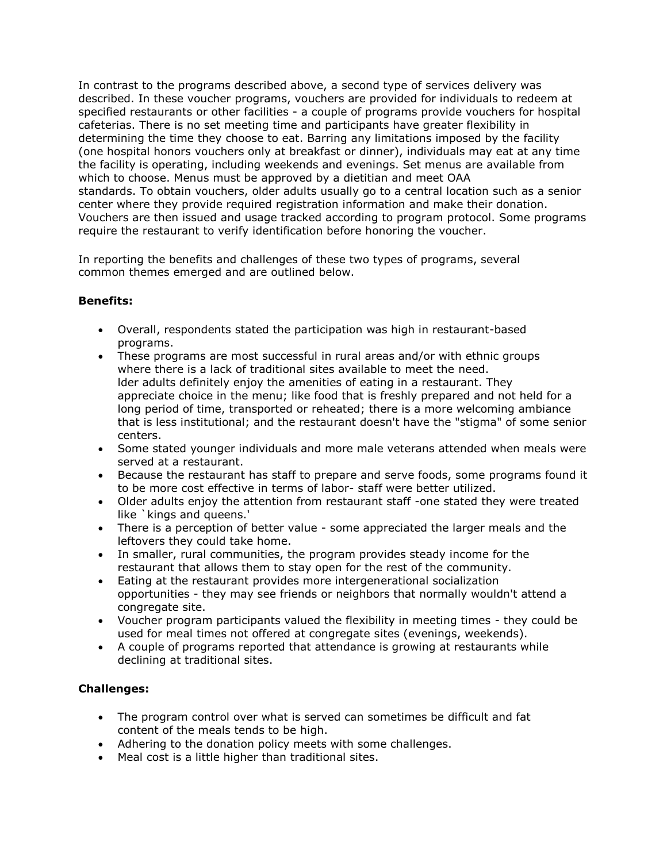In contrast to the programs described above, a second type of services delivery was described. In these voucher programs, vouchers are provided for individuals to redeem at specified restaurants or other facilities - a couple of programs provide vouchers for hospital cafeterias. There is no set meeting time and participants have greater flexibility in determining the time they choose to eat. Barring any limitations imposed by the facility (one hospital honors vouchers only at breakfast or dinner), individuals may eat at any time the facility is operating, including weekends and evenings. Set menus are available from which to choose. Menus must be approved by a dietitian and meet OAA standards. To obtain vouchers, older adults usually go to a central location such as a senior center where they provide required registration information and make their donation. Vouchers are then issued and usage tracked according to program protocol. Some programs require the restaurant to verify identification before honoring the voucher.

In reporting the benefits and challenges of these two types of programs, several common themes emerged and are outlined below.

## **Benefits:**

- Overall, respondents stated the participation was high in restaurant-based programs.
- These programs are most successful in rural areas and/or with ethnic groups where there is a lack of traditional sites available to meet the need. lder adults definitely enjoy the amenities of eating in a restaurant. They appreciate choice in the menu; like food that is freshly prepared and not held for a long period of time, transported or reheated; there is a more welcoming ambiance that is less institutional; and the restaurant doesn't have the "stigma" of some senior centers.
- Some stated younger individuals and more male veterans attended when meals were served at a restaurant.
- Because the restaurant has staff to prepare and serve foods, some programs found it to be more cost effective in terms of labor- staff were better utilized.
- Older adults enjoy the attention from restaurant staff -one stated they were treated like `kings and queens.'
- There is a perception of better value some appreciated the larger meals and the leftovers they could take home.
- In smaller, rural communities, the program provides steady income for the restaurant that allows them to stay open for the rest of the community.
- Eating at the restaurant provides more intergenerational socialization opportunities - they may see friends or neighbors that normally wouldn't attend a congregate site.
- Voucher program participants valued the flexibility in meeting times they could be used for meal times not offered at congregate sites (evenings, weekends).
- A couple of programs reported that attendance is growing at restaurants while declining at traditional sites.

#### **Challenges:**

- The program control over what is served can sometimes be difficult and fat content of the meals tends to be high.
- Adhering to the donation policy meets with some challenges.
- Meal cost is a little higher than traditional sites.